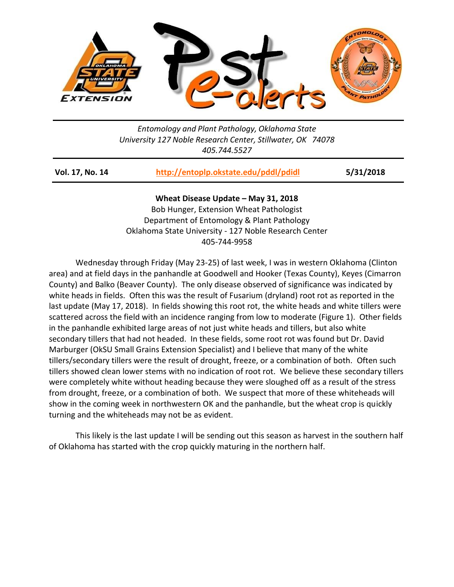

## *Entomology and Plant Pathology, Oklahoma State University 127 Noble Research Center, Stillwater, OK 74078 405.744.5527*

| Vol. 17, No. 14 | http://entoplp.okstate.edu/pddl/pdidl | 5/31/2018 |
|-----------------|---------------------------------------|-----------|
|                 |                                       |           |

**Wheat Disease Update – May 31, 2018** Bob Hunger, Extension Wheat Pathologist Department of Entomology & Plant Pathology Oklahoma State University - 127 Noble Research Center 405-744-9958

Wednesday through Friday (May 23-25) of last week, I was in western Oklahoma (Clinton area) and at field days in the panhandle at Goodwell and Hooker (Texas County), Keyes (Cimarron County) and Balko (Beaver County). The only disease observed of significance was indicated by white heads in fields. Often this was the result of Fusarium (dryland) root rot as reported in the last update (May 17, 2018). In fields showing this root rot, the white heads and white tillers were scattered across the field with an incidence ranging from low to moderate (Figure 1). Other fields in the panhandle exhibited large areas of not just white heads and tillers, but also white secondary tillers that had not headed. In these fields, some root rot was found but Dr. David Marburger (OkSU Small Grains Extension Specialist) and I believe that many of the white tillers/secondary tillers were the result of drought, freeze, or a combination of both. Often such tillers showed clean lower stems with no indication of root rot. We believe these secondary tillers were completely white without heading because they were sloughed off as a result of the stress from drought, freeze, or a combination of both. We suspect that more of these whiteheads will show in the coming week in northwestern OK and the panhandle, but the wheat crop is quickly turning and the whiteheads may not be as evident.

This likely is the last update I will be sending out this season as harvest in the southern half of Oklahoma has started with the crop quickly maturing in the northern half.